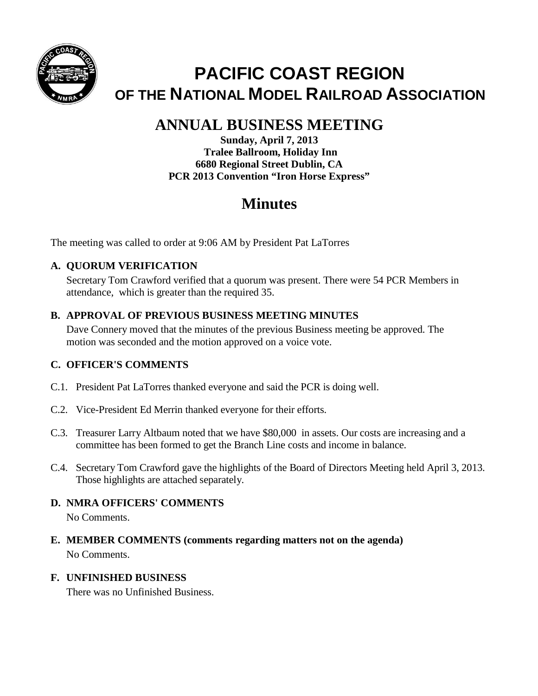

# **PACIFIC COAST REGION OF THE NATIONAL MODEL RAILROAD ASSOCIATION**

## **ANNUAL BUSINESS MEETING**

**Sunday, April 7, 2013 Tralee Ballroom, Holiday Inn 6680 Regional Street Dublin, CA PCR 2013 Convention "Iron Horse Express"**

## **Minutes**

The meeting was called to order at 9:06 AM by President Pat LaTorres

## **A. QUORUM VERIFICATION**

Secretary Tom Crawford verified that a quorum was present. There were 54 PCR Members in attendance, which is greater than the required 35.

### **B. APPROVAL OF PREVIOUS BUSINESS MEETING MINUTES**

Dave Connery moved that the minutes of the previous Business meeting be approved. The motion was seconded and the motion approved on a voice vote.

## **C. OFFICER'S COMMENTS**

- C.1. President Pat LaTorres thanked everyone and said the PCR is doing well.
- C.2. Vice-President Ed Merrin thanked everyone for their efforts.
- C.3. Treasurer Larry Altbaum noted that we have \$80,000 in assets. Our costs are increasing and a committee has been formed to get the Branch Line costs and income in balance.
- C.4. Secretary Tom Crawford gave the highlights of the Board of Directors Meeting held April 3, 2013. Those highlights are attached separately.

## **D. NMRA OFFICERS' COMMENTS**

No Comments.

**E. MEMBER COMMENTS (comments regarding matters not on the agenda)** No Comments.

#### **F. UNFINISHED BUSINESS**

There was no Unfinished Business.